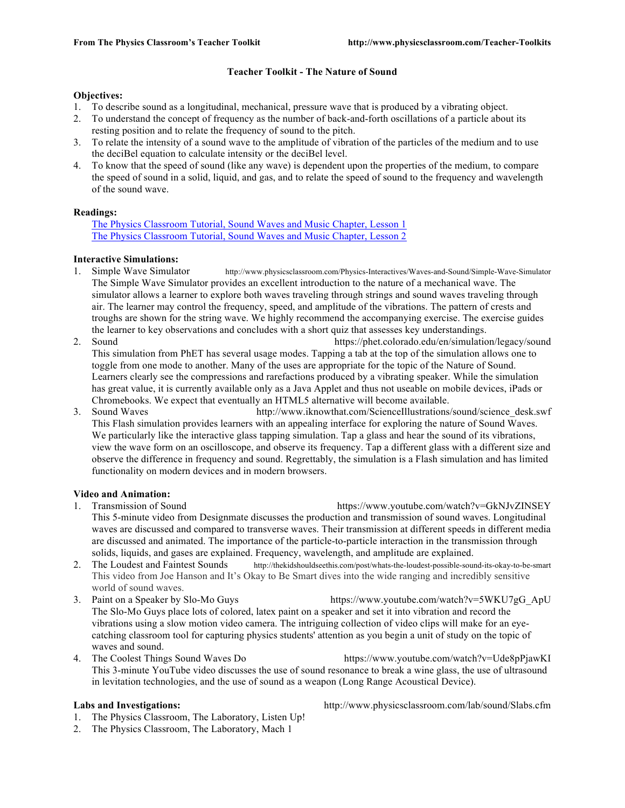### **Teacher Toolkit - The Nature of Sound**

### **Objectives:**

- 1. To describe sound as a longitudinal, mechanical, pressure wave that is produced by a vibrating object.
- 2. To understand the concept of frequency as the number of back-and-forth oscillations of a particle about its resting position and to relate the frequency of sound to the pitch.
- 3. To relate the intensity of a sound wave to the amplitude of vibration of the particles of the medium and to use the deciBel equation to calculate intensity or the deciBel level.
- 4. To know that the speed of sound (like any wave) is dependent upon the properties of the medium, to compare the speed of sound in a solid, liquid, and gas, and to relate the speed of sound to the frequency and wavelength of the sound wave.

### **Readings:**

The Physics Classroom Tutorial, Sound Waves and Music Chapter, Lesson 1 The Physics Classroom Tutorial, Sound Waves and Music Chapter, Lesson 2

## **Interactive Simulations:**

- 1. Simple Wave Simulator http://www.physicsclassroom.com/Physics-Interactives/Waves-and-Sound/Simple-Wave-Simulator The Simple Wave Simulator provides an excellent introduction to the nature of a mechanical wave. The simulator allows a learner to explore both waves traveling through strings and sound waves traveling through air. The learner may control the frequency, speed, and amplitude of the vibrations. The pattern of crests and troughs are shown for the string wave. We highly recommend the accompanying exercise. The exercise guides the learner to key observations and concludes with a short quiz that assesses key understandings.
- 2. Sound https://phet.colorado.edu/en/simulation/legacy/sound This simulation from PhET has several usage modes. Tapping a tab at the top of the simulation allows one to toggle from one mode to another. Many of the uses are appropriate for the topic of the Nature of Sound. Learners clearly see the compressions and rarefactions produced by a vibrating speaker. While the simulation has great value, it is currently available only as a Java Applet and thus not useable on mobile devices, iPads or Chromebooks. We expect that eventually an HTML5 alternative will become available.
- 3. Sound Waves http://www.iknowthat.com/ScienceIllustrations/sound/science\_desk.swf This Flash simulation provides learners with an appealing interface for exploring the nature of Sound Waves. We particularly like the interactive glass tapping simulation. Tap a glass and hear the sound of its vibrations, view the wave form on an oscilloscope, and observe its frequency. Tap a different glass with a different size and observe the difference in frequency and sound. Regrettably, the simulation is a Flash simulation and has limited functionality on modern devices and in modern browsers.

## **Video and Animation:**

- 1. Transmission of Sound https://www.youtube.com/watch?v=GkNJvZINSEY This 5-minute video from Designmate discusses the production and transmission of sound waves. Longitudinal waves are discussed and compared to transverse waves. Their transmission at different speeds in different media are discussed and animated. The importance of the particle-to-particle interaction in the transmission through solids, liquids, and gases are explained. Frequency, wavelength, and amplitude are explained.
- 2. The Loudest and Faintest Sounds http://thekidshouldseethis.com/post/whats-the-loudest-possible-sound-its-okay-to-be-smart This video from Joe Hanson and It's Okay to Be Smart dives into the wide ranging and incredibly sensitive world of sound waves.
- 3. Paint on a Speaker by Slo-Mo Guys https://www.youtube.com/watch?v=5WKU7gG\_ApU The Slo-Mo Guys place lots of colored, latex paint on a speaker and set it into vibration and record the vibrations using a slow motion video camera. The intriguing collection of video clips will make for an eyecatching classroom tool for capturing physics students' attention as you begin a unit of study on the topic of waves and sound.
- 4. The Coolest Things Sound Waves Do https://www.youtube.com/watch?v=Ude8pPjawKI This 3-minute YouTube video discusses the use of sound resonance to break a wine glass, the use of ultrasound in levitation technologies, and the use of sound as a weapon (Long Range Acoustical Device).

- 1. The Physics Classroom, The Laboratory, Listen Up!
- 2. The Physics Classroom, The Laboratory, Mach 1

**Labs and Investigations:** http://www.physicsclassroom.com/lab/sound/Slabs.cfm